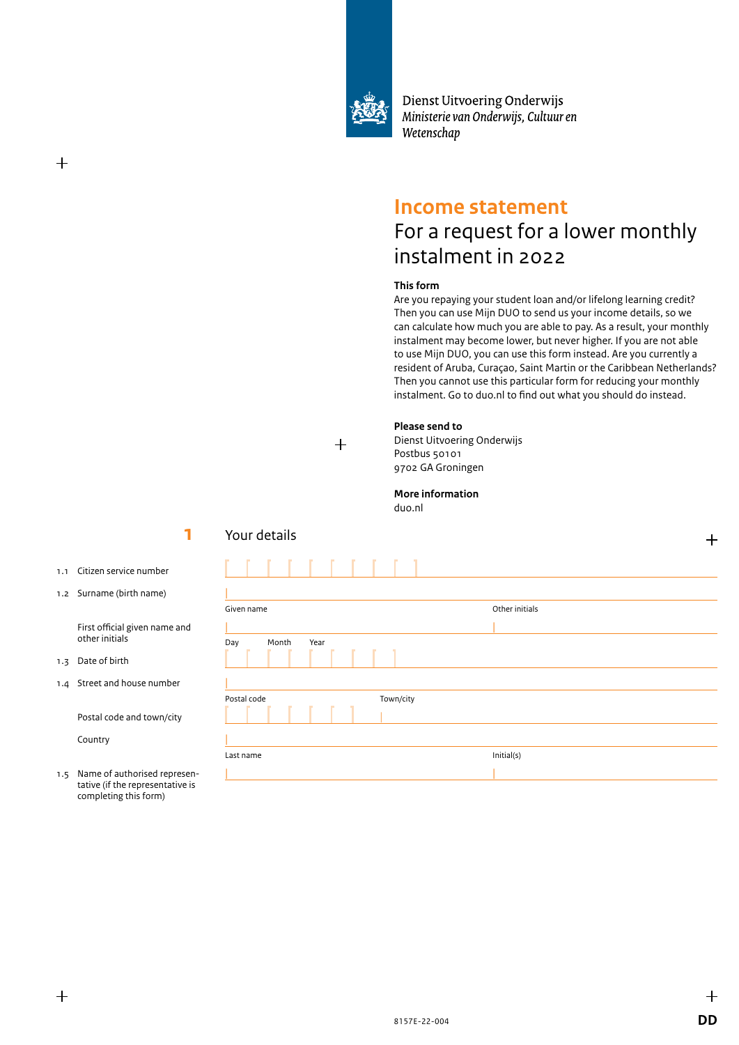

Dienst Uitvoering Onderwijs Ministerie van Onderwijs, Cultuur en Wetenschap

# **Income statement**

# For a request for a lower monthly instalment in 2022

## **This form**

Are you repaying your student loan and/or lifelong learning credit? Then you can use Mijn DUO to send us your income details, so we can calculate how much you are able to pay. As a result, your monthly instalment may become lower, but never higher. If you are not able to use Mijn DUO, you can use this form instead. Are you currently a resident of Aruba, Curaçao, Saint Martin or the Caribbean Netherlands? Then you cannot use this particular form for reducing your monthly instalment. Go to duo.nl to find out what you should do instead.

#### **Please send to**

Dienst Uitvoering Onderwijs Postbus 50101 9702 GA Groningen

# **More information**

duo.nl

 $+$ 

1.1 Citizen service number

**1**

Your details

1.2 Surname (birth name)

 First official given name and other initials

1.3 Date of birth

 $^{+}$ 

1.4 Street and house number

Postal code and town/city

Country

1.5 Name of authorised representative (if the representative is completing this form)

| Given name               | Other initials |  |  |  |  |
|--------------------------|----------------|--|--|--|--|
|                          |                |  |  |  |  |
| Month<br>Year<br>Day     |                |  |  |  |  |
|                          |                |  |  |  |  |
| Town/city<br>Postal code |                |  |  |  |  |
|                          |                |  |  |  |  |
|                          |                |  |  |  |  |
| Last name                | Initial(s)     |  |  |  |  |
|                          |                |  |  |  |  |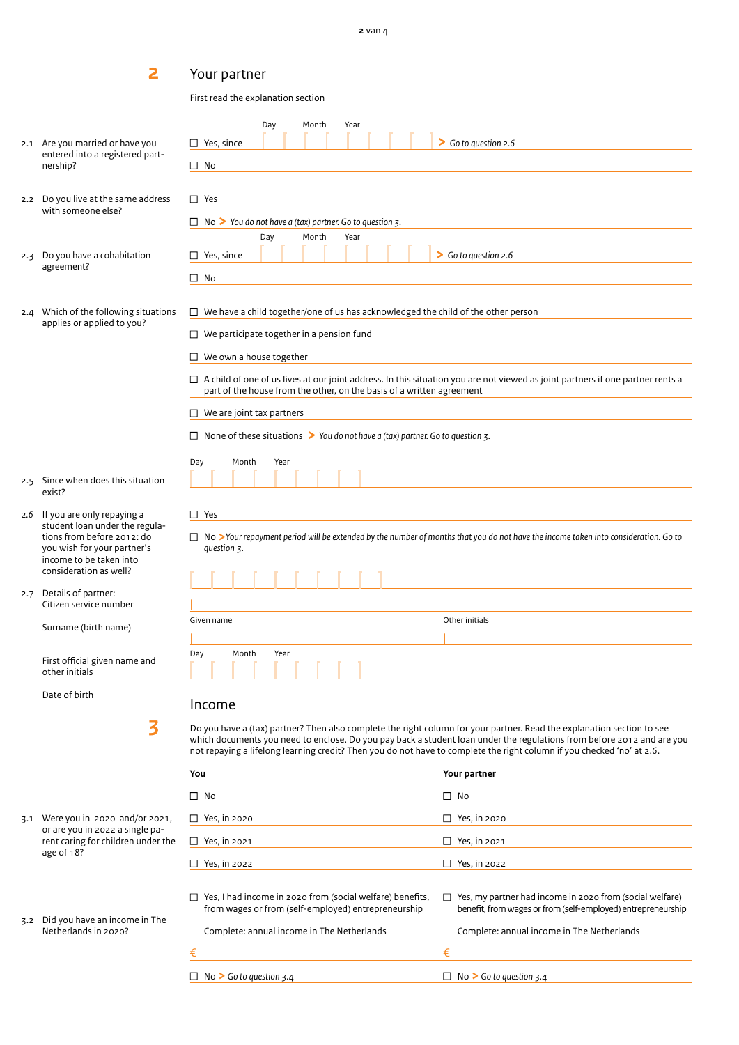# Your partner

First read the explanation section

| 2.1 | Are you married or have you                                                          | Day<br>Month<br>Year<br>$\Box$ Yes, since                                                                                                                                                                                                                                                                                                                                  | $\triangleright$ Go to question 2.6 |  |  |  |  |  |  |  |
|-----|--------------------------------------------------------------------------------------|----------------------------------------------------------------------------------------------------------------------------------------------------------------------------------------------------------------------------------------------------------------------------------------------------------------------------------------------------------------------------|-------------------------------------|--|--|--|--|--|--|--|
|     | entered into a registered part-<br>nership?                                          | $\square$ No                                                                                                                                                                                                                                                                                                                                                               |                                     |  |  |  |  |  |  |  |
|     | 2.2 Do you live at the same address                                                  | $\Box$ Yes                                                                                                                                                                                                                                                                                                                                                                 |                                     |  |  |  |  |  |  |  |
|     | with someone else?                                                                   | $\Box$ No > You do not have a (tax) partner. Go to question 3.                                                                                                                                                                                                                                                                                                             |                                     |  |  |  |  |  |  |  |
| 2.3 | Do you have a cohabitation                                                           | Day<br>Month<br>Year<br>$\Box$ Yes, since                                                                                                                                                                                                                                                                                                                                  | $\triangleright$ Go to question 2.6 |  |  |  |  |  |  |  |
|     | agreement?                                                                           | $\square$ No                                                                                                                                                                                                                                                                                                                                                               |                                     |  |  |  |  |  |  |  |
| 2.4 | Which of the following situations<br>applies or applied to you?                      | $\Box$ We have a child together/one of us has acknowledged the child of the other person                                                                                                                                                                                                                                                                                   |                                     |  |  |  |  |  |  |  |
|     |                                                                                      | $\Box$ We participate together in a pension fund                                                                                                                                                                                                                                                                                                                           |                                     |  |  |  |  |  |  |  |
|     |                                                                                      | $\Box$ We own a house together                                                                                                                                                                                                                                                                                                                                             |                                     |  |  |  |  |  |  |  |
|     |                                                                                      | $\Box$ A child of one of us lives at our joint address. In this situation you are not viewed as joint partners if one partner rents a<br>part of the house from the other, on the basis of a written agreement                                                                                                                                                             |                                     |  |  |  |  |  |  |  |
|     |                                                                                      | $\Box$ We are joint tax partners                                                                                                                                                                                                                                                                                                                                           |                                     |  |  |  |  |  |  |  |
|     |                                                                                      | $\Box$ None of these situations > You do not have a (tax) partner. Go to question 3.                                                                                                                                                                                                                                                                                       |                                     |  |  |  |  |  |  |  |
|     | 2.5 Since when does this situation                                                   | Day<br>Month<br>Year                                                                                                                                                                                                                                                                                                                                                       |                                     |  |  |  |  |  |  |  |
|     | exist?                                                                               |                                                                                                                                                                                                                                                                                                                                                                            |                                     |  |  |  |  |  |  |  |
|     | 2.6 If you are only repaying a<br>student loan under the regula-                     | $\square$ Yes                                                                                                                                                                                                                                                                                                                                                              |                                     |  |  |  |  |  |  |  |
|     | tions from before 2012: do<br>you wish for your partner's<br>income to be taken into | $\Box$ No >Your repayment period will be extended by the number of months that you do not have the income taken into consideration. Go to<br>question 3.                                                                                                                                                                                                                   |                                     |  |  |  |  |  |  |  |
|     | consideration as well?                                                               |                                                                                                                                                                                                                                                                                                                                                                            |                                     |  |  |  |  |  |  |  |
|     | 2.7 Details of partner:<br>Citizen service number                                    |                                                                                                                                                                                                                                                                                                                                                                            |                                     |  |  |  |  |  |  |  |
|     | Surname (birth name)                                                                 | Given name                                                                                                                                                                                                                                                                                                                                                                 | Other initials                      |  |  |  |  |  |  |  |
|     | First official given name and<br>other initials                                      | Month<br>Day<br>Year                                                                                                                                                                                                                                                                                                                                                       |                                     |  |  |  |  |  |  |  |
|     | Date of birth                                                                        | Income                                                                                                                                                                                                                                                                                                                                                                     |                                     |  |  |  |  |  |  |  |
|     | 3                                                                                    | Do you have a (tax) partner? Then also complete the right column for your partner. Read the explanation section to see<br>which documents you need to enclose. Do you pay back a student loan under the regulations from before 2012 and are you<br>not repaying a lifelong learning credit? Then you do not have to complete the right column if you checked 'no' at 2.6. |                                     |  |  |  |  |  |  |  |
|     |                                                                                      | You                                                                                                                                                                                                                                                                                                                                                                        | Your partner                        |  |  |  |  |  |  |  |
|     |                                                                                      | $\square$ No                                                                                                                                                                                                                                                                                                                                                               | $\Box$ No                           |  |  |  |  |  |  |  |
|     | 3.1 Were you in 2020 and/or 2021,                                                    | $\Box$ Yes, in 2020                                                                                                                                                                                                                                                                                                                                                        | $\Box$ Yes, in 2020                 |  |  |  |  |  |  |  |

- 3.1 Were you in 2020 and or are you in 2022 a single parent caring for children under the age of 18?
- 3.2 Did you have an income in The Netherlands in 2020?

| $\Box$ Yes, in 2022                                                                                                     | Yes, in 2022                                                                                                                    |
|-------------------------------------------------------------------------------------------------------------------------|---------------------------------------------------------------------------------------------------------------------------------|
| $\Box$ Yes, I had income in 2020 from (social welfare) benefits,<br>from wages or from (self-employed) entrepreneurship | $\Box$ Yes, my partner had income in 2020 from (social welfare)<br>benefit, from wages or from (self-employed) entrepreneurship |
| Complete: annual income in The Netherlands                                                                              | Complete: annual income in The Netherlands                                                                                      |

<sup>n</sup> No **>** *Go to question 3.4* <sup>n</sup> No **>** *Go to question 3.4*

 $\Box$  Yes, in 2021  $\Box$  Yes, in 2021

 $\epsilon$   $\epsilon$ 

# **2**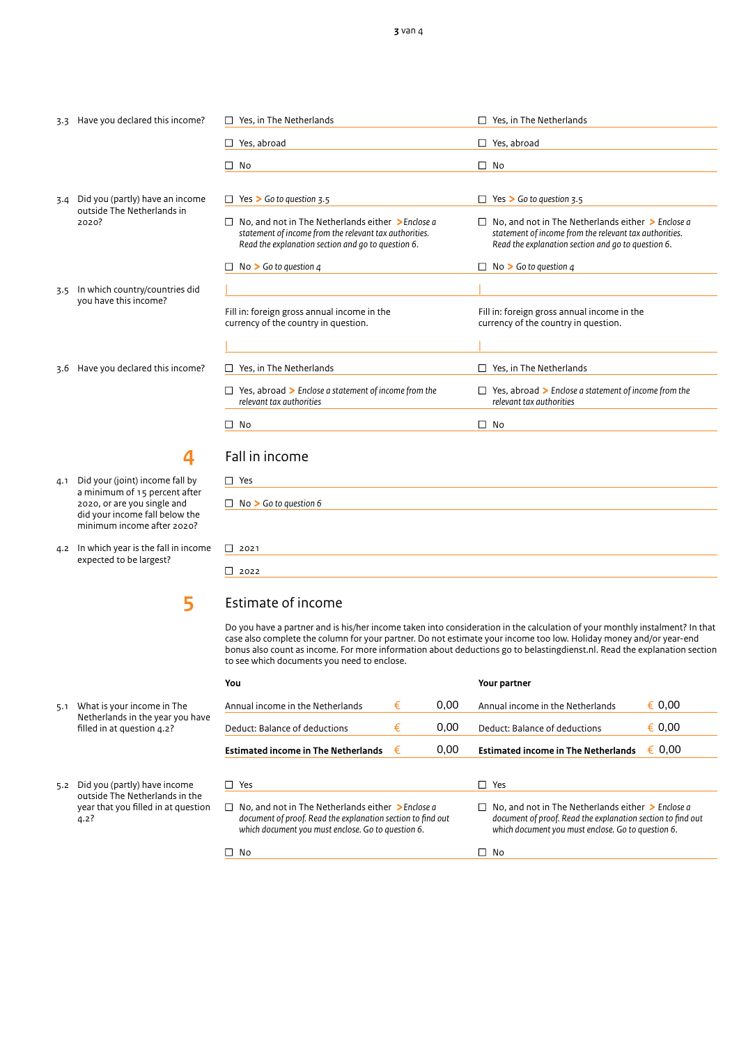#### 3.3 Have you declared this income?

- 3.4 Did you (partly) have an income outside The Netherlands in 2020?
- 3.5 In which country/countries did you have this income?
- 3.6 Have you declared this income?

 **4**

- 4.1 Did your (joint) income fall by a minimum of 15 percent after 2020, or are you single and did your income fall below the minimum income after 2020?
- 4.2 In which year is the fall in income expected to be largest?

**5**

5.1 What is your income in The Netherlands in the year you have filled in at question 4.2?

5.2 Did you (partly) have income outside The Netherlands in the year that you filled in at question  $4.2?$ 

| Yes, in The Netherlands                                                                                                                                                | Yes, in The Netherlands                                                                                                                                                |
|------------------------------------------------------------------------------------------------------------------------------------------------------------------------|------------------------------------------------------------------------------------------------------------------------------------------------------------------------|
| Yes, abroad                                                                                                                                                            | Yes, abroad                                                                                                                                                            |
| No                                                                                                                                                                     | No<br>$\mathsf{L}$                                                                                                                                                     |
| Yes $\triangleright$ Go to question 3.5                                                                                                                                | Yes $\triangleright$ Go to question 3.5<br>П                                                                                                                           |
| No. and not in The Netherlands either $\geq$ Enclose a<br>statement of income from the relevant tax authorities.<br>Read the explanation section and go to question 6. | No. and not in The Netherlands either $\geq$ Enclose a<br>statement of income from the relevant tax authorities.<br>Read the explanation section and go to question 6. |
| No $\triangleright$ Go to question 4                                                                                                                                   | No $\triangleright$ Go to question 4                                                                                                                                   |
|                                                                                                                                                                        |                                                                                                                                                                        |
| Fill in: foreign gross annual income in the<br>currency of the country in question.                                                                                    | Fill in: foreign gross annual income in the<br>currency of the country in question.                                                                                    |
|                                                                                                                                                                        |                                                                                                                                                                        |
| Yes, in The Netherlands                                                                                                                                                | Yes, in The Netherlands                                                                                                                                                |
| Yes, abroad > Enclose a statement of income from the<br>relevant tax authorities                                                                                       | Yes, abroad > Enclose a statement of income from the<br>$\perp$<br>relevant tax authorities                                                                            |
| No                                                                                                                                                                     | No<br>$\mathsf{L}$                                                                                                                                                     |

# all in income

| $\Box$ Yes                   |
|------------------------------|
| $\Box$ No > Go to question 6 |
|                              |
| $\Box$ 2021                  |
| 2022                         |

# Estimate of income

Do you have a partner and is his/her income taken into consideration in the calculation of your monthly instalment? In that case also complete the column for your partner. Do not estimate your income too low. Holiday money and/or year-end bonus also count as income. For more information about deductions go to belastingdienst.nl. Read the explanation section to see which documents you need to enclose.

| You |                                                                                                                                                                               |   |      | Your partner                                                                                                                                                                |           |  |  |  |  |  |
|-----|-------------------------------------------------------------------------------------------------------------------------------------------------------------------------------|---|------|-----------------------------------------------------------------------------------------------------------------------------------------------------------------------------|-----------|--|--|--|--|--|
|     | Annual income in the Netherlands                                                                                                                                              | € | 0.00 | Annual income in the Netherlands                                                                                                                                            | € 0.00    |  |  |  |  |  |
|     | Deduct: Balance of deductions                                                                                                                                                 | € | 0.00 | Deduct: Balance of deductions                                                                                                                                               | € 0.00    |  |  |  |  |  |
|     | <b>Estimated income in The Netherlands</b>                                                                                                                                    | € | 0.00 | <b>Estimated income in The Netherlands</b>                                                                                                                                  | 0.00<br>€ |  |  |  |  |  |
|     | $\Box$ Yes                                                                                                                                                                    |   |      | Yes                                                                                                                                                                         |           |  |  |  |  |  |
|     | $\Box$ No, and not in The Netherlands either > Enclose a<br>document of proof. Read the explanation section to find out<br>which document you must enclose. Go to question 6. |   |      | No. and not in The Netherlands either $\geq$ Enclose a<br>document of proof. Read the explanation section to find out<br>which document you must enclose. Go to question 6. |           |  |  |  |  |  |
|     | $\square$ No                                                                                                                                                                  |   |      | No                                                                                                                                                                          |           |  |  |  |  |  |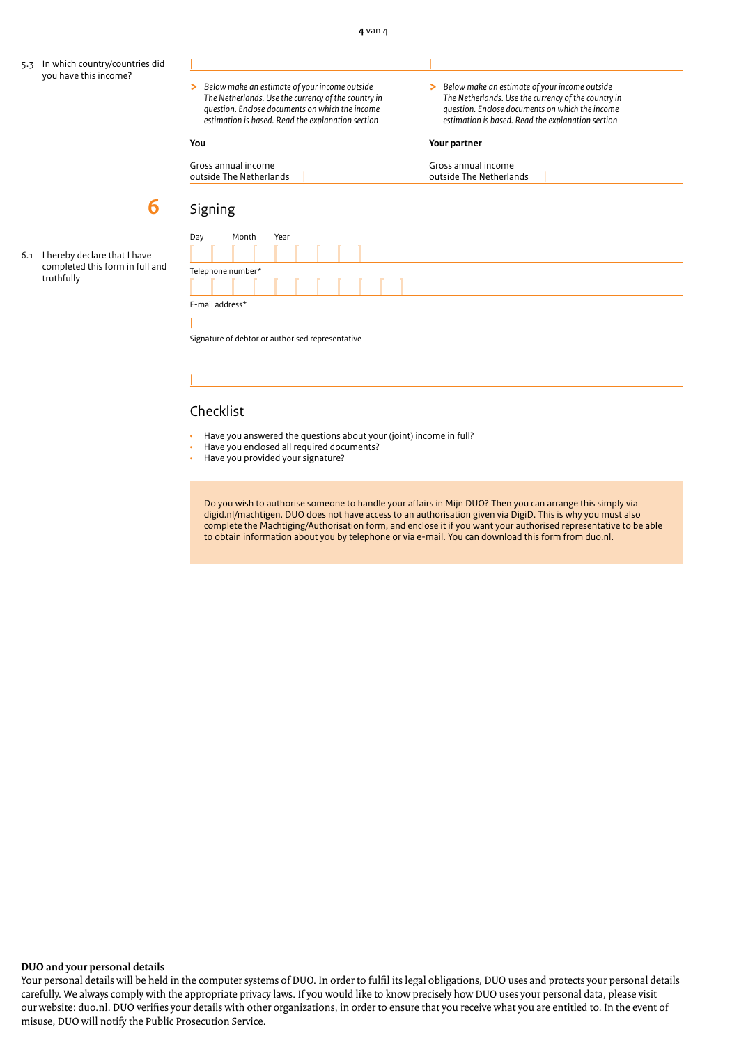- 5.3 In which country/countries did you have this income?
- *question. Enclose documents on which the income question. Enclose documents on which the income*

| |

**>** *Below make an estimate of your income outside* **>** *Below make an estimate of your income outside The Netherlands. Use the currency of the country in The Netherlands. Use the currency of the country in estimation is based. Read the explanation section estimation is based. Read the explanation section*

#### **You Your partner**

| Gross annual income     | Gross annual income     |
|-------------------------|-------------------------|
| outside The Netherlands | outside The Netherlands |
|                         |                         |

|  |  | 6 |
|--|--|---|
|  |  |   |

6.1 I hereby declare that I have completed this form in full and truthfully

| Signing           |       |      |  |  |  |  |  |  |  |  |  |
|-------------------|-------|------|--|--|--|--|--|--|--|--|--|
| Day               | Month | Year |  |  |  |  |  |  |  |  |  |
|                   |       |      |  |  |  |  |  |  |  |  |  |
| Telephone number* |       |      |  |  |  |  |  |  |  |  |  |
|                   |       |      |  |  |  |  |  |  |  |  |  |
| E-mail address*   |       |      |  |  |  |  |  |  |  |  |  |
|                   |       |      |  |  |  |  |  |  |  |  |  |

Signature of debtor or authorised representative

## Checklist

|

- Have you answered the questions about your (joint) income in full?
- Have you enclosed all required documents?
- Have you provided your signature?

Do you wish to authorise someone to handle your affairs in Mijn DUO? Then you can arrange this simply via digid.nl/machtigen. DUO does not have access to an authorisation given via DigiD. This is why you must also complete the Machtiging/Authorisation form, and enclose it if you want your authorised representative to be able to obtain information about you by telephone or via e-mail. You can download this form from duo.nl.

#### **DUO and your personal details**

Your personal details will be held in the computer systems of DUO. In order to fulfil its legal obligations, DUO uses and protects your personal details carefully. We always comply with the appropriate privacy laws. If you would like to know precisely how DUO uses your personal data, please visit our website: duo.nl. DUO verifies your details with other organizations, in order to ensure that you receive what you are entitled to. In the event of misuse, DUO will notify the Public Prosecution Service.